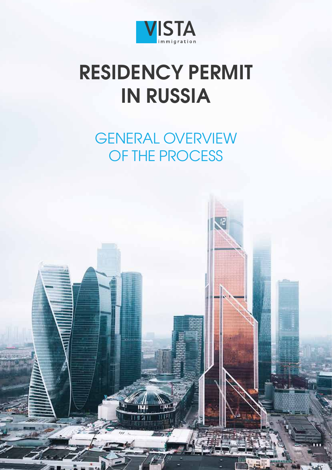

## **RESIDENCY PERMIT IN RUSSIA**

GENERAL OVERVIEW OF THE PROCESS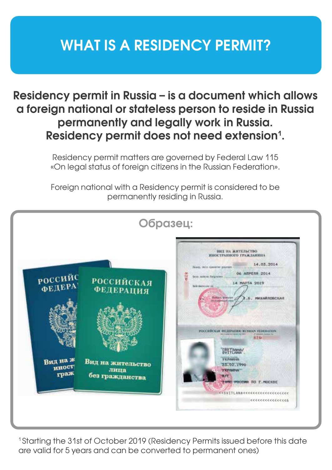### **WHAT IS A RESIDENCY PERMIT?**

### **Residency permit in Russia – is a document which allows a foreign national or stateless person to reside in Russia permanently and legally work in Russia. Residency permit does not need extension1 .**

Residency permit matters are governed by Federal Law 115 «On legal status of foreign citizens in the Russian Federation».

Foreign national with a Residency permit is considered to be permanently residing in Russia.

|                                  |                                              | ВИД НА ЖИТЕЛЬСТВО<br>ИНОСТРАННОГО ГРАЖДАНИНА                                                                                                                                                                      |
|----------------------------------|----------------------------------------------|-------------------------------------------------------------------------------------------------------------------------------------------------------------------------------------------------------------------|
| РОССИЙС<br>ФЕДЕРА                | РОССИЙСКАЯ<br><b>ФЕДЕРАЦИЯ</b>               | 14.03.2014<br>Палер, Авто проветит рашения.<br>06 AMPERS 2014<br>8<br>Seas autom Augustino.<br>培<br>14 MAPTA 2019<br>Telemmun in<br><b><i>Holland, Question</i></b><br>5. MWXARnOBCKAR<br><b>RELEASEMENT FREE</b> |
| Вид на ж<br><b>ИНОСТ</b><br>граж | Вид на жительство<br>лица<br>без гражданства | POCCHBCKAR GELEPATHE KUSSIAN FEDERATION<br><b>CONTRACTOR AND INC.</b><br>of Interest Automobile<br>82%<br>SUFFLAMS<br><b><i>VKPAMHIA</i></b><br>23.02.1990<br><b>YKPORHA</b><br>加戸井                               |

<sup>1</sup> Starting the 31st of October 2019 (Residency Permits issued before this date are valid for 5 years and can be converted to permanent ones)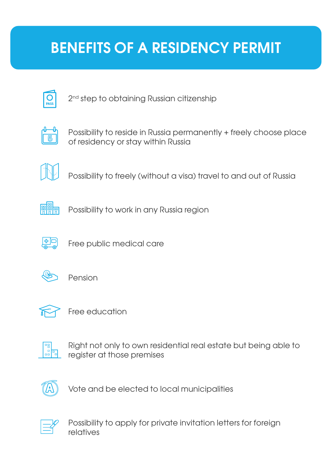### **BENEFITS OF A RESIDENCY PERMIT**



2<sup>nd</sup> step to obtaining Russian citizenship



Possibility to reside in Russia permanently + freely choose place of residency or stay within Russia



Possibility to freely (without a visa) travel to and out of Russia



Possibility to work in any Russia region



Free public medical care



Pension



Free education



Right not only to own residential real estate but being able to register at those premises



Vote and be elected to local municipalities



Possibility to apply for private invitation letters for foreign relatives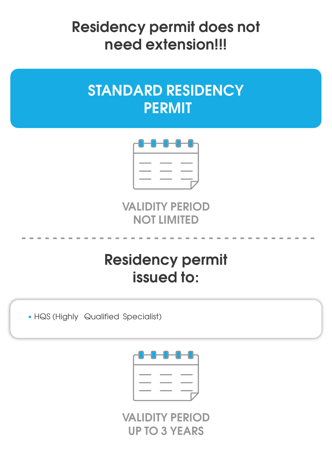**Residency permit does not need extension!!!**

### **STANDARD RESIDENCY PERMIT**



**VALIDITY PERIOD NOT LIMITED**

### **Residency permit issued to:**

• HQS (Highly Qualified Specialist)



**VALIDITY PERIOD UP TO 3 YEARS**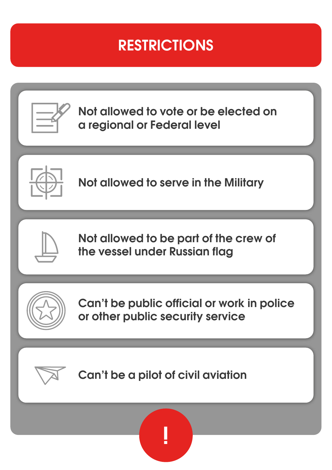### **RESTRICTIONS**



**Not allowed to vote or be elected on a regional or Federal level**



**Not allowed to serve in the Military**



**Not allowed to be part of the crew of the vessel under Russian flag**



**Can't be public official or work in police or other public security service**



**Can't be a pilot of civil aviation**

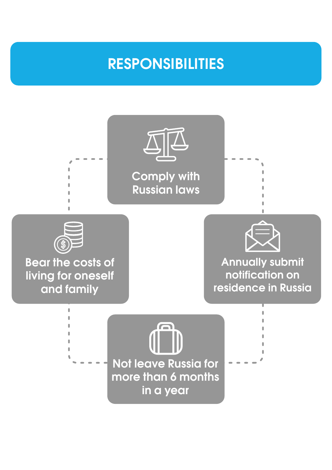### **RESPONSIBILITIES**

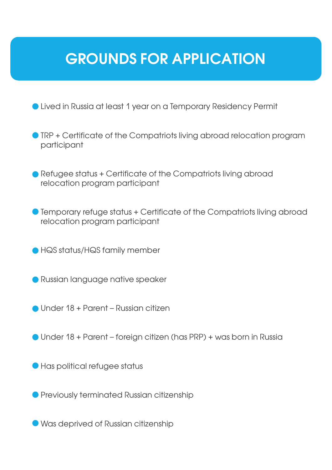### **GROUNDS FOR APPLICATION**

Lived in Russia at least 1 year on a Temporary Residency Permit

- **TRP + Certificate of the Compatriots living abroad relocation program** participant
- Refugee status + Certificate of the Compatriots living abroad relocation program participant
- Temporary refuge status + Certificate of the Compatriots living abroad relocation program participant
- HQS status/HQS family member
- **Russian language native speaker**
- Under 18 + Parent Russian citizen
- Under 18 + Parent foreign citizen (has PRP) + was born in Russia
- Has political refugee status
- **Previously terminated Russian citizenship**
- Was deprived of Russian citizenship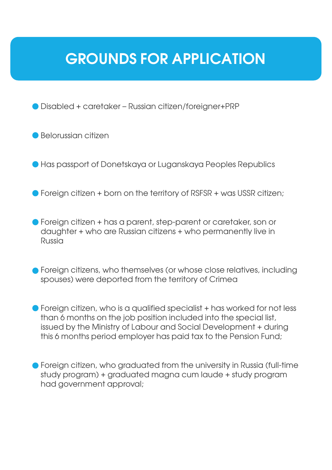### **GROUNDS FOR APPLICATION**

Disabled + caretaker – Russian citizen/foreigner+PRP

Belorussian citizen

Has passport of Donetskaya or Luganskaya Peoples Republics

- **•** Foreign citizen + born on the territory of RSFSR + was USSR citizen;
- Foreign citizen + has a parent, step-parent or caretaker, son or daughter + who are Russian citizens + who permanently live in Russia
- **•** Foreign citizens, who themselves (or whose close relatives, including spouses) were deported from the territory of Crimea
- Foreign citizen, who is a qualified specialist + has worked for not less than 6 months on the job position included into the special list, issued by the Ministry of Labour and Social Development + during this 6 months period employer has paid tax to the Pension Fund;
- Foreign citizen, who graduated from the university in Russia (full-time study program) + graduated magna cum laude + study program had government approval;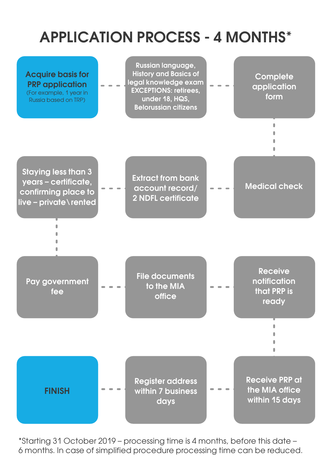### **APPLICATION PROCESS - 4 MONTHS\***



\*Starting 31 October 2019 – processing time is 4 months, before this date – 6 months. In case of simplified procedure processing time can be reduced.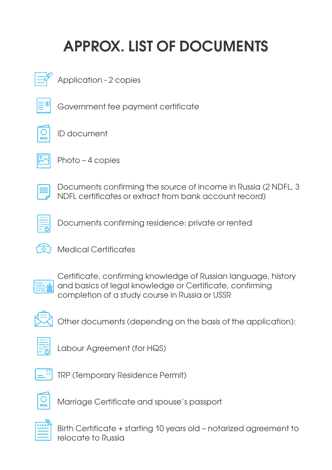## **APPROX. LIST OF DOCUMENTS**



Application - 2 copies



Government fee payment certificate

ID document



Photo – 4 copies



Documents confirming the source of income in Russia (2 NDFL, 3 NDFL certificates or extract from bank account record)



Documents confirming residence: private or rented



Medical Certificates



Certificate, confirming knowledge of Russian language, history and basics of legal knowledge or Certificate, confirming completion of a study course in Russia or USSR



Other documents (depending on the basis of the application):



Labour Agreement (for HQS)



TRP (Temporary Residence Permit)



Marriage Certificate and spouse's passport



Birth Certificate + starting 10 years old – notarized agreement to relocate to Russia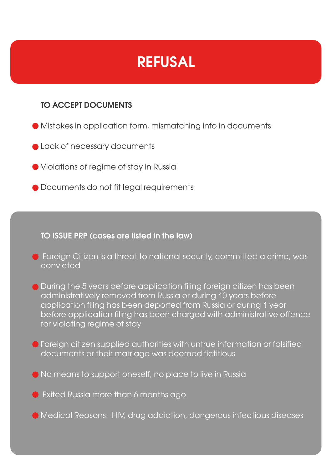### **REFUSAL**

#### **TO ACCEPT DOCUMENTS**

- Mistakes in application form, mismatching info in documents
- **Lack of necessary documents**
- Violations of regime of stay in Russia
- $\bullet$  Documents do not fit legal requirements

#### **TO ISSUE PRP (cases are listed in the law)**

- **•** Foreign Citizen is a threat to national security, committed a crime, was convicted
- **O** During the 5 years before application filing foreign citizen has been administratively removed from Russia or during 10 years before application filing has been deported from Russia or during 1 year before application filing has been charged with administrative offence for violating regime of stay
- Foreign citizen supplied authorities with untrue information or falsified documents or their marriage was deemed fictitious
- No means to support oneself, no place to live in Russia
- Exited Russia more than 6 months ago
- Medical Reasons: HIV, drug addiction, dangerous infectious diseases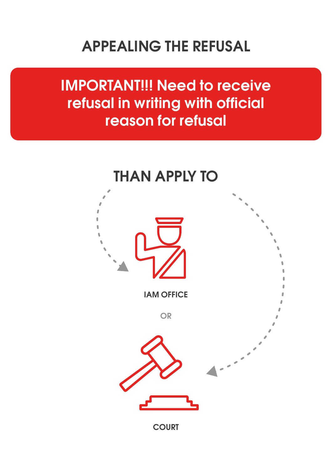### **APPEALING THE REFUSAL**

**IMPORTANT!!! Need to receive refusal in writing with official reason for refusal** 

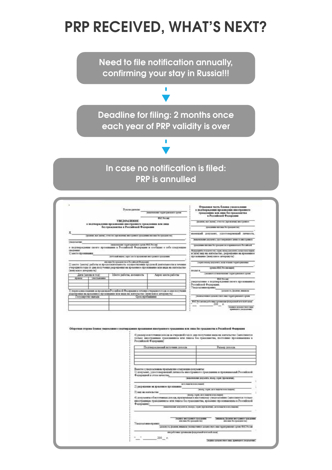### **PRP RECEIVED, WHAT'S NEXT?**

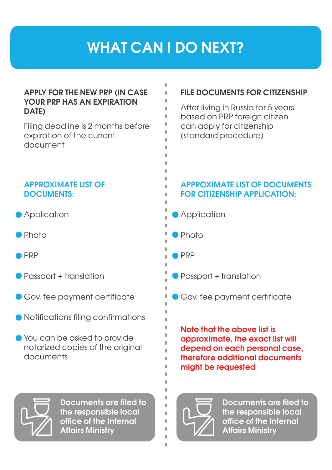### **WHAT CAN I DO NEXT?**

#### **APPLY FOR THE NEW PRP (IN CASE YOUR PRP HAS AN EXPIRATION DATE)**

Filing deadline is 2 months before expiration of the current document

#### **APPROXIMATE LIST OF DOCUMENTS:**

- **Application**
- Photo
- PRP
- Passport + translation
- Gov. fee payment certificate
- Notifications filing confirmations
- You can be asked to provide notarized copies of the original documents



**Documents are filed to the responsible local office of the Internal Affairs Ministry** 

#### **FILE DOCUMENTS FOR CITIZENSHIP**

After living in Russia for 5 years based on PRP foreign citizen can apply for citizenship (standard procedure)

#### **APPROXIMATE LIST OF DOCUMENTS FOR CITIZENSHIP APPLICATION:**

- **Application**
- Photo
- PRP
- Passport + translation
- Gov. fee payment certificate

**Note that the above list is approximate, the exact list will depend on each personal case, therefore additional documents might be requested** 



**Documents are filed to the responsible local office of the Internal Affairs Ministry**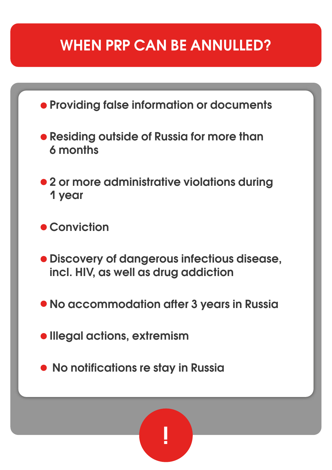### **WHEN PRP CAN BE ANNULLED?**



 **No notifications re stay in Russia** 

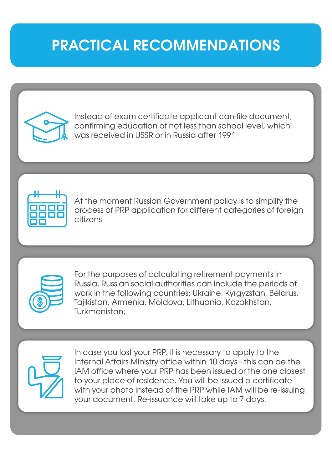### **PRACTICAL RECOMMENDATIONS**



Instead of exam certificate applicant can file document, confirming education of not less than school level, which was received in USSR or in Russia after 1991



At the moment Russian Government policy is to simplify the process of PRP application for different categories of foreign citizens



For the purposes of calculating retirement payments in Russia, Russian social authorities can include the periods of work in the following countries: Ukraine, Kyrgyzstan, Belarus, Tajikistan, Armenia, Moldova, Lithuania, Kazakhstan, Turkmenistan;



In case you lost your PRP, it is necessary to apply to the Internal Affairs Ministry office within 10 days - this can be the IAM office where your PRP has been issued or the one closest to your place of residence. You will be issued a certificate with your photo instead of the PRP while IAM will be re-issuing your document. Re-issuance will take up to 7 days.